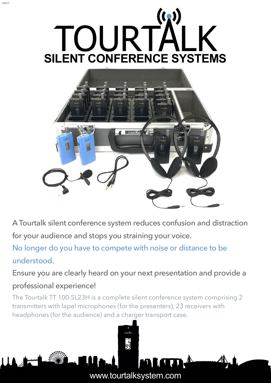

V0917



A Tourtalk silent conference system reduces confusion and distraction for your audience and stops you straining your voice.

No longer do you have to compete with noise or distance to be understood.

Ensure you are clearly heard on your next presentation and provide a professional experience!

The Tourtalk TT 100-SL23H is a complete silent conference system comprising 2 transmitters with lapel microphones (for the presenters), 23 receivers with headphones (for the audience) and a charger transport case.

 $rac{R_0}{99}$ 

[www.tourtalksystem.com](http://www.tourtalksystem.com)